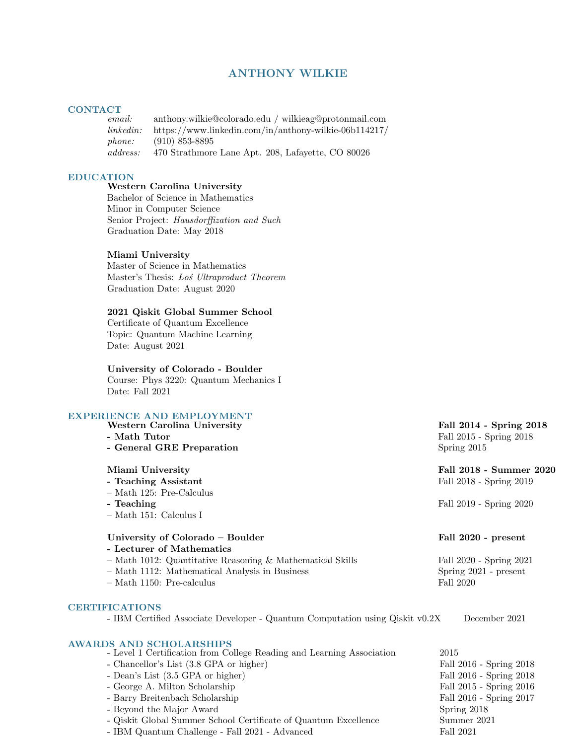# ANTHONY WILKIE

# CONTACT<br>
email:

email: anthony.wilkie@colorado.edu / wilkieag@protonmail.com linkedin: https://www.linkedin.com/in/anthony-wilkie-06b114217/ phone: (910) 853-8895 address: 470 Strathmore Lane Apt. 208, Lafayette, CO 80026

### EDUCATION

# Western Carolina University

Bachelor of Science in Mathematics Minor in Computer Science Senior Project: Hausdorffization and Such Graduation Date: May 2018

### Miami University

Master of Science in Mathematics Master's Thesis: Los Ultraproduct Theorem Graduation Date: August 2020

### 2021 Qiskit Global Summer School

Certificate of Quantum Excellence Topic: Quantum Machine Learning Date: August 2021

### University of Colorado - Boulder

Course: Phys 3220: Quantum Mechanics I Date: Fall 2021

# EXPERIENCE AND EMPLOYMENT

Western Carolina University **Fall 2014 - Spring 2018** 

- 
- General GRE Preparation Spring 2015

- 
- Math 125: Pre-Calculus
- 
- Math 151: Calculus I

### University of Colorado – Boulder Fall 2020 - present

- Lecturer of Mathematics
- Math 1012: Quantitative Reasoning & Mathematical Skills Fall 2020 Spring 2021
- Math 1112: Mathematical Analysis in Business Spring 2021 present
- Math 1150: Pre-calculus Fall 2020

### CERTIFICATIONS

- IBM Certified Associate Developer - Quantum Computation using Qiskit v0.2X December 2021

### AWARDS AND SCHOLARSHIPS

| - Level 1 Certification from College Reading and Learning Association | 2015                    |
|-----------------------------------------------------------------------|-------------------------|
| - Chancellor's List (3.8 GPA or higher)                               | Fall 2016 - Spring 2018 |
| - Dean's List (3.5 GPA or higher)                                     | Fall 2016 - Spring 2018 |
| - George A. Milton Scholarship                                        | Fall 2015 - Spring 2016 |
| - Barry Breitenbach Scholarship                                       | Fall 2016 - Spring 2017 |
| - Beyond the Major Award                                              | Spring 2018             |
| - Qiskit Global Summer School Certificate of Quantum Excellence       | Summer 2021             |
| - IBM Quantum Challenge - Fall 2021 - Advanced                        | Fall 2021               |

- Math Tutor Fall 2015 - Spring 2018

### Miami University Fall 2018 - Summer 2020 - Teaching Assistant Fall 2018 - Spring 2019

- Teaching Fall 2019 - Spring 2020